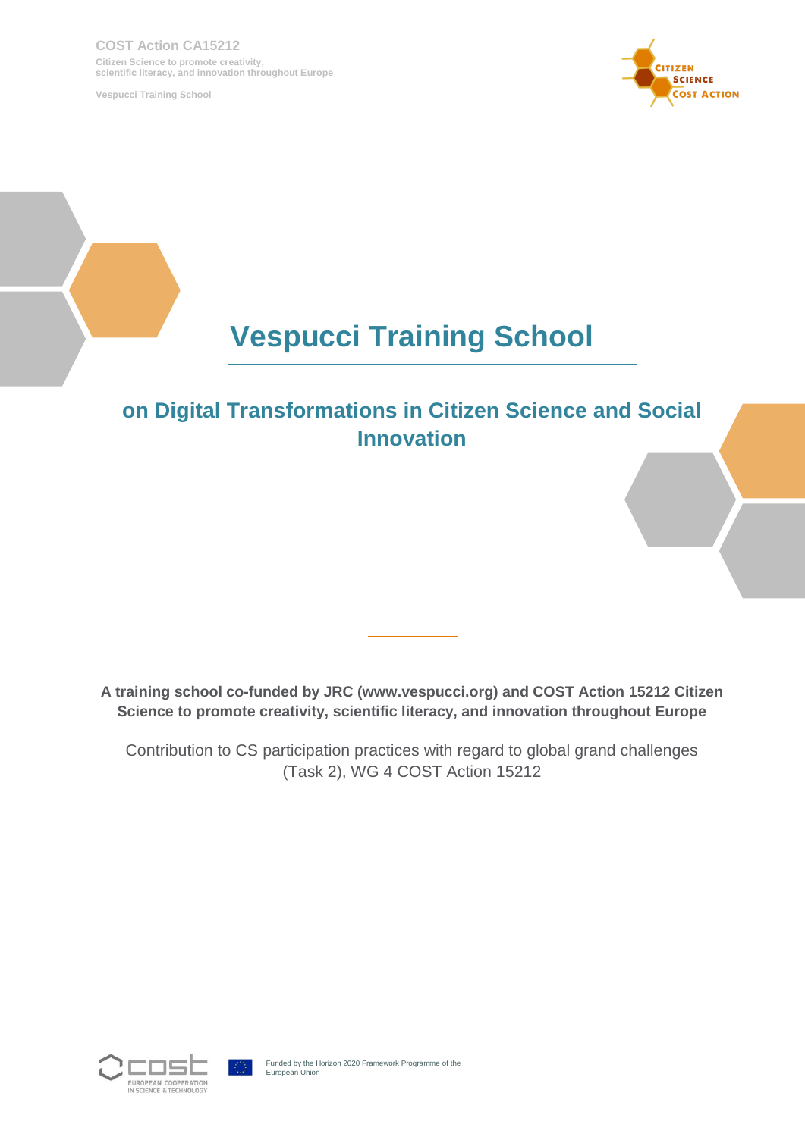**COST Action CA15212 Citizen Science to promote creativity, scientific literacy, and innovation throughout Europe**

**Vespucci Training School**



# **Vespucci Training School**

# **on Digital Transformations in Citizen Science and Social Innovation**

**A training school co-funded by JRC (www.vespucci.org) and COST Action 15212 Citizen Science to promote creativity, scientific literacy, and innovation throughout Europe**

Contribution to CS participation practices with regard to global grand challenges (Task 2), WG 4 COST Action 15212

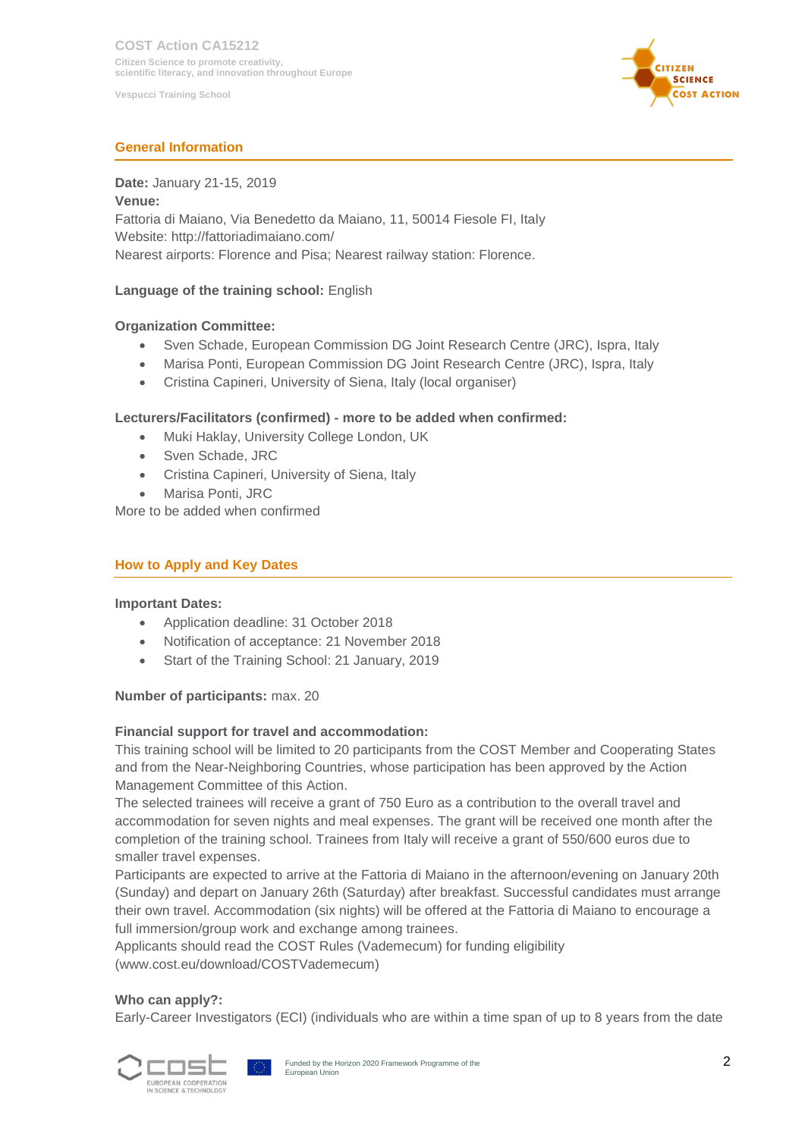

# **General Information**

# **Date:** January 21-15, 2019

**Venue:** Fattoria di Maiano, Via Benedetto da Maiano, 11, 50014 Fiesole FI, Italy Website: http://fattoriadimaiano.com/ Nearest airports: Florence and Pisa; Nearest railway station: Florence.

# **Language of the training school:** English

#### **Organization Committee:**

- Sven Schade, European Commission DG Joint Research Centre (JRC), Ispra, Italy
- Marisa Ponti, European Commission DG Joint Research Centre (JRC), Ispra, Italy
- Cristina Capineri, University of Siena, Italy (local organiser)

#### **Lecturers/Facilitators (confirmed) - more to be added when confirmed:**

- Muki Haklay, University College London, UK
- Sven Schade, JRC
- Cristina Capineri, University of Siena, Italy
- Marisa Ponti, JRC

More to be added when confirmed

#### **How to Apply and Key Dates**

#### **Important Dates:**

- Application deadline: 31 October 2018
- Notification of acceptance: 21 November 2018
- Start of the Training School: 21 January, 2019

#### **Number of participants:** max. 20

#### **Financial support for travel and accommodation:**

This training school will be limited to 20 participants from the COST Member and Cooperating States and from the Near-Neighboring Countries, whose participation has been approved by the Action Management Committee of this Action.

The selected trainees will receive a grant of 750 Euro as a contribution to the overall travel and accommodation for seven nights and meal expenses. The grant will be received one month after the completion of the training school. Trainees from Italy will receive a grant of 550/600 euros due to smaller travel expenses.

Participants are expected to arrive at the Fattoria di Maiano in the afternoon/evening on January 20th (Sunday) and depart on January 26th (Saturday) after breakfast. Successful candidates must arrange their own travel. Accommodation (six nights) will be offered at the Fattoria di Maiano to encourage a full immersion/group work and exchange among trainees.

Applicants should read the COST Rules (Vademecum) for funding eligibility (www.cost.eu/download/COSTVademecum)

#### **Who can apply?:**

Early-Career Investigators (ECI) (individuals who are within a time span of up to 8 years from the date

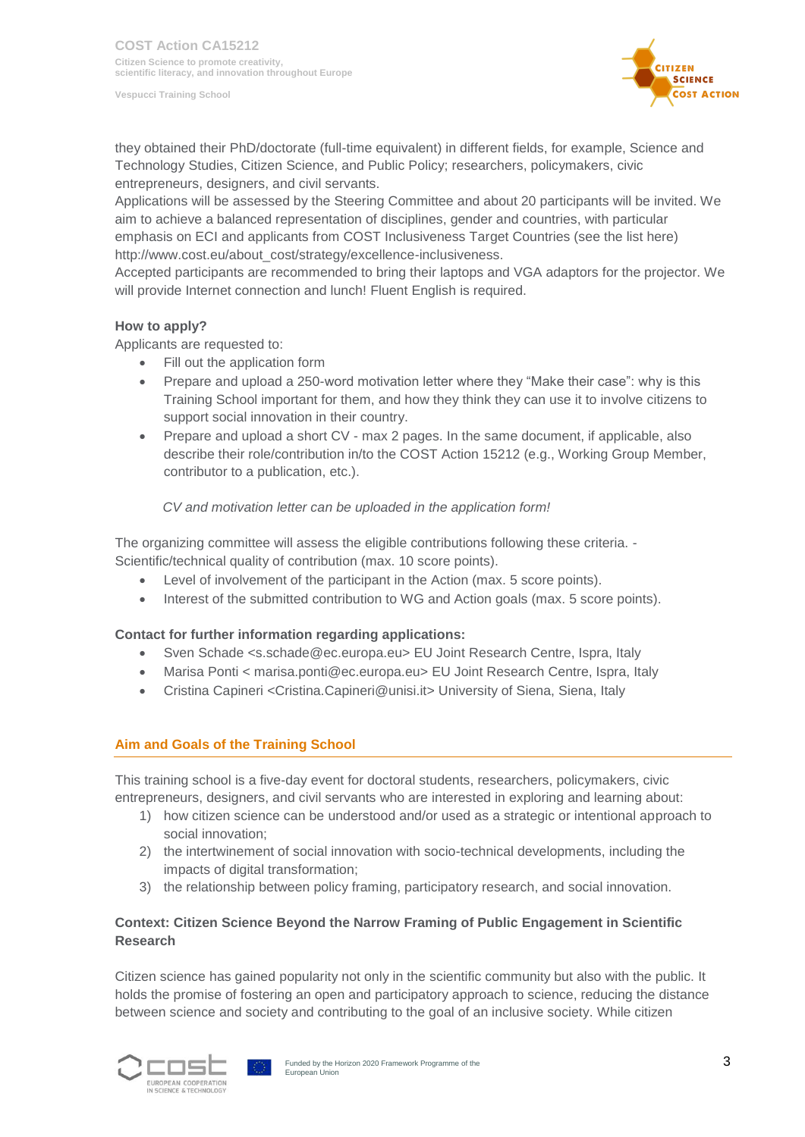

they obtained their PhD/doctorate (full-time equivalent) in different fields, for example, Science and Technology Studies, Citizen Science, and Public Policy; researchers, policymakers, civic entrepreneurs, designers, and civil servants.

Applications will be assessed by the Steering Committee and about 20 participants will be invited. We aim to achieve a balanced representation of disciplines, gender and countries, with particular emphasis on ECI and applicants from COST Inclusiveness Target Countries (see the list here) http://www.cost.eu/about\_cost/strategy/excellence-inclusiveness.

Accepted participants are recommended to bring their laptops and VGA adaptors for the projector. We will provide Internet connection and lunch! Fluent English is required.

#### **How to apply?**

Applicants are requested to:

- Fill out the application form
- Prepare and upload a 250-word motivation letter where they "Make their case": why is this Training School important for them, and how they think they can use it to involve citizens to support social innovation in their country.
- Prepare and upload a short CV max 2 pages. In the same document, if applicable, also describe their role/contribution in/to the COST Action 15212 (e.g., Working Group Member, contributor to a publication, etc.).

#### *CV and motivation letter can be uploaded in the application form!*

The organizing committee will assess the eligible contributions following these criteria. - Scientific/technical quality of contribution (max. 10 score points).

- Level of involvement of the participant in the Action (max. 5 score points).
- Interest of the submitted contribution to WG and Action goals (max. 5 score points).

# **Contact for further information regarding applications:**

- Sven Schade <s.schade@ec.europa.eu> EU Joint Research Centre, Ispra, Italy
- Marisa Ponti < marisa.ponti@ec.europa.eu> EU Joint Research Centre, Ispra, Italy
- Cristina Capineri <Cristina.Capineri@unisi.it> University of Siena, Siena, Italy

# **Aim and Goals of the Training School**

This training school is a five-day event for doctoral students, researchers, policymakers, civic entrepreneurs, designers, and civil servants who are interested in exploring and learning about:

- 1) how citizen science can be understood and/or used as a strategic or intentional approach to social innovation;
- 2) the intertwinement of social innovation with socio-technical developments, including the impacts of digital transformation:
- 3) the relationship between policy framing, participatory research, and social innovation.

# **Context: Citizen Science Beyond the Narrow Framing of Public Engagement in Scientific Research**

Citizen science has gained popularity not only in the scientific community but also with the public. It holds the promise of fostering an open and participatory approach to science, reducing the distance between science and society and contributing to the goal of an inclusive society. While citizen

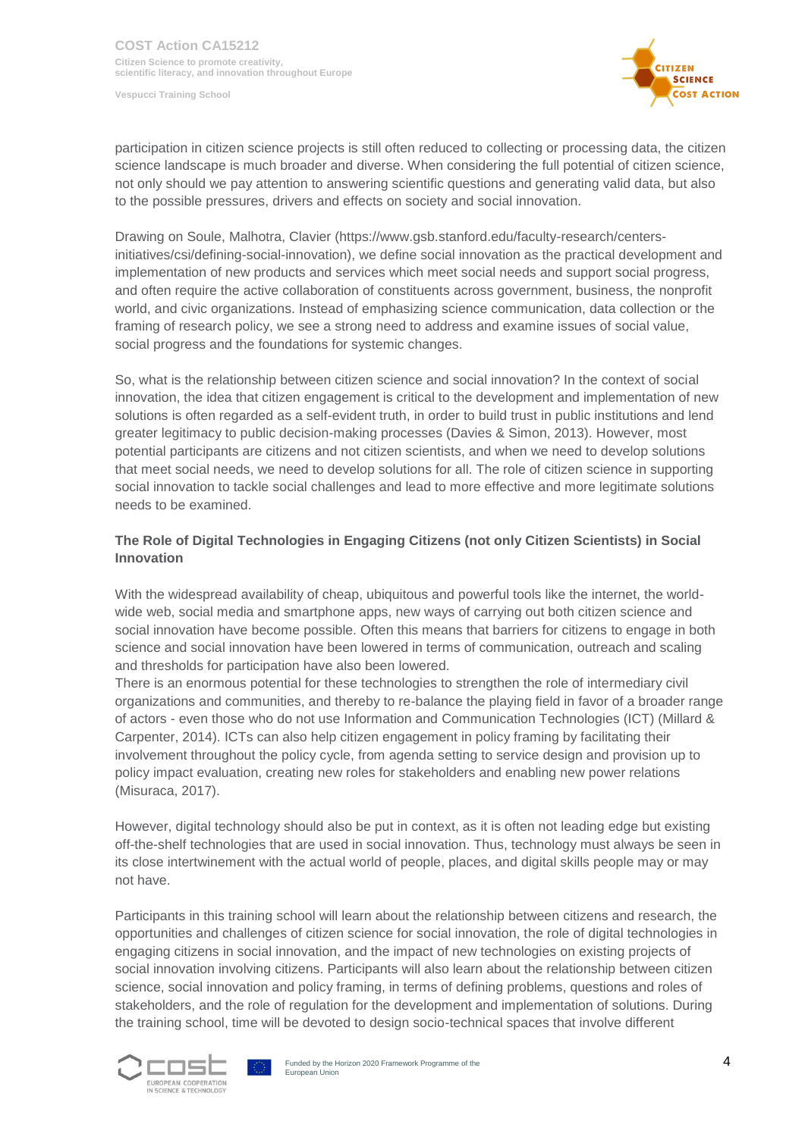

participation in citizen science projects is still often reduced to collecting or processing data, the citizen science landscape is much broader and diverse. When considering the full potential of citizen science, not only should we pay attention to answering scientific questions and generating valid data, but also to the possible pressures, drivers and effects on society and social innovation.

Drawing on Soule, Malhotra, Clavier (https://www.gsb.stanford.edu/faculty-research/centersinitiatives/csi/defining-social-innovation), we define social innovation as the practical development and implementation of new products and services which meet social needs and support social progress, and often require the active collaboration of constituents across government, business, the nonprofit world, and civic organizations. Instead of emphasizing science communication, data collection or the framing of research policy, we see a strong need to address and examine issues of social value, social progress and the foundations for systemic changes.

So, what is the relationship between citizen science and social innovation? In the context of social innovation, the idea that citizen engagement is critical to the development and implementation of new solutions is often regarded as a self-evident truth, in order to build trust in public institutions and lend greater legitimacy to public decision-making processes (Davies & Simon, 2013). However, most potential participants are citizens and not citizen scientists, and when we need to develop solutions that meet social needs, we need to develop solutions for all. The role of citizen science in supporting social innovation to tackle social challenges and lead to more effective and more legitimate solutions needs to be examined.

# **The Role of Digital Technologies in Engaging Citizens (not only Citizen Scientists) in Social Innovation**

With the widespread availability of cheap, ubiquitous and powerful tools like the internet, the worldwide web, social media and smartphone apps, new ways of carrying out both citizen science and social innovation have become possible. Often this means that barriers for citizens to engage in both science and social innovation have been lowered in terms of communication, outreach and scaling and thresholds for participation have also been lowered.

There is an enormous potential for these technologies to strengthen the role of intermediary civil organizations and communities, and thereby to re-balance the playing field in favor of a broader range of actors - even those who do not use Information and Communication Technologies (ICT) (Millard & Carpenter, 2014). ICTs can also help citizen engagement in policy framing by facilitating their involvement throughout the policy cycle, from agenda setting to service design and provision up to policy impact evaluation, creating new roles for stakeholders and enabling new power relations (Misuraca, 2017).

However, digital technology should also be put in context, as it is often not leading edge but existing off-the-shelf technologies that are used in social innovation. Thus, technology must always be seen in its close intertwinement with the actual world of people, places, and digital skills people may or may not have.

Participants in this training school will learn about the relationship between citizens and research, the opportunities and challenges of citizen science for social innovation, the role of digital technologies in engaging citizens in social innovation, and the impact of new technologies on existing projects of social innovation involving citizens. Participants will also learn about the relationship between citizen science, social innovation and policy framing, in terms of defining problems, questions and roles of stakeholders, and the role of regulation for the development and implementation of solutions. During the training school, time will be devoted to design socio-technical spaces that involve different



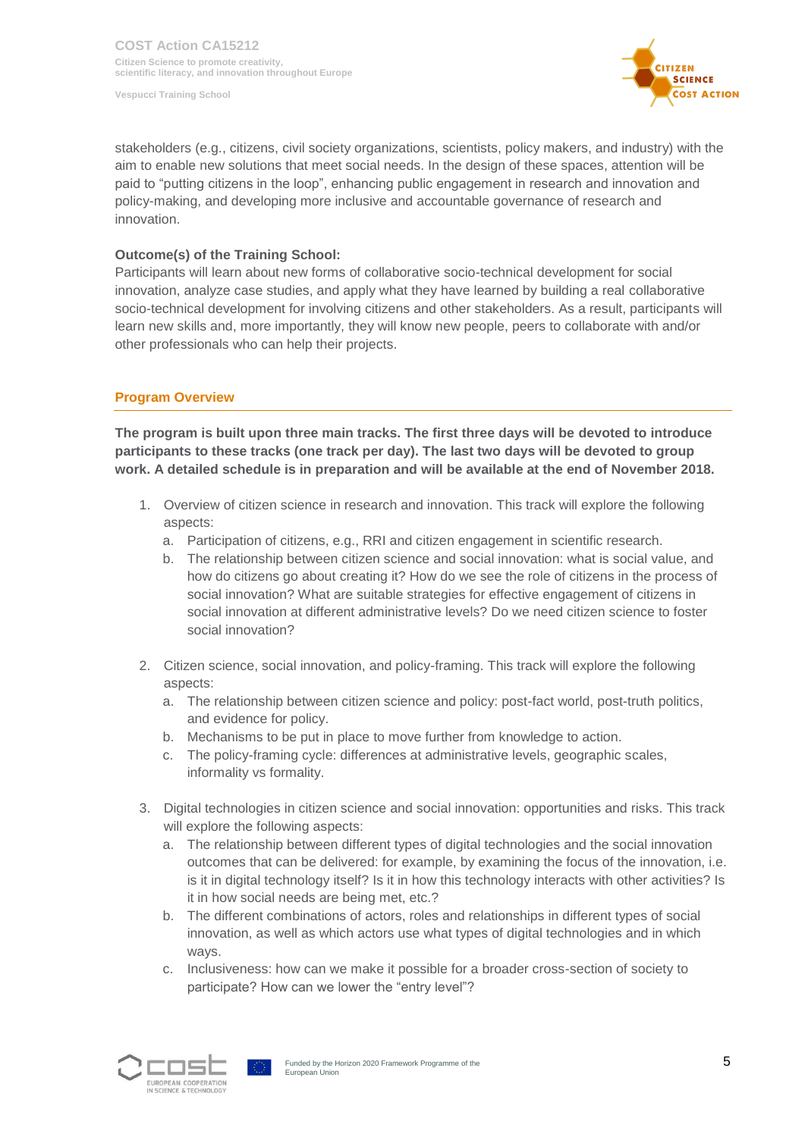**COST Action CA15212 Citizen Science to promote creativity, scientific literacy, and innovation throughout Europe**

**Vespucci Training School**



stakeholders (e.g., citizens, civil society organizations, scientists, policy makers, and industry) with the aim to enable new solutions that meet social needs. In the design of these spaces, attention will be paid to "putting citizens in the loop", enhancing public engagement in research and innovation and policy-making, and developing more inclusive and accountable governance of research and innovation.

#### **Outcome(s) of the Training School:**

Participants will learn about new forms of collaborative socio-technical development for social innovation, analyze case studies, and apply what they have learned by building a real collaborative socio-technical development for involving citizens and other stakeholders. As a result, participants will learn new skills and, more importantly, they will know new people, peers to collaborate with and/or other professionals who can help their projects.

#### **Program Overview**

**The program is built upon three main tracks. The first three days will be devoted to introduce participants to these tracks (one track per day). The last two days will be devoted to group work. A detailed schedule is in preparation and will be available at the end of November 2018.**

- 1. Overview of citizen science in research and innovation. This track will explore the following aspects:
	- a. Participation of citizens, e.g., RRI and citizen engagement in scientific research.
	- b. The relationship between citizen science and social innovation: what is social value, and how do citizens go about creating it? How do we see the role of citizens in the process of social innovation? What are suitable strategies for effective engagement of citizens in social innovation at different administrative levels? Do we need citizen science to foster social innovation?
- 2. Citizen science, social innovation, and policy-framing. This track will explore the following aspects:
	- a. The relationship between citizen science and policy: post-fact world, post-truth politics, and evidence for policy.
	- b. Mechanisms to be put in place to move further from knowledge to action.
	- c. The policy-framing cycle: differences at administrative levels, geographic scales, informality vs formality.
- 3. Digital technologies in citizen science and social innovation: opportunities and risks. This track will explore the following aspects:
	- a. The relationship between different types of digital technologies and the social innovation outcomes that can be delivered: for example, by examining the focus of the innovation, i.e. is it in digital technology itself? Is it in how this technology interacts with other activities? Is it in how social needs are being met, etc.?
	- b. The different combinations of actors, roles and relationships in different types of social innovation, as well as which actors use what types of digital technologies and in which ways.
	- c. Inclusiveness: how can we make it possible for a broader cross-section of society to participate? How can we lower the "entry level"?